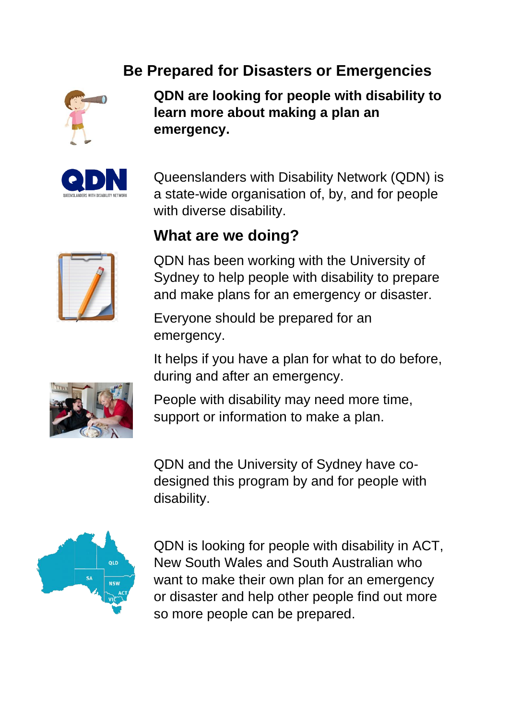# **Be Prepared for Disasters or Emergencies**



**QDN are looking for people with disability to learn more about making a plan an emergency.**



Queenslanders with Disability Network (QDN) is a state-wide organisation of, by, and for people with diverse disability.

#### **What are we doing?**



QDN has been working with the University of Sydney to help people with disability to prepare and make plans for an emergency or disaster.

Everyone should be prepared for an emergency.

It helps if you have a plan for what to do before, during and after an emergency.



People with disability may need more time, support or information to make a plan.

QDN and the University of Sydney have codesigned this program by and for people with disability.



QDN is looking for people with disability in ACT, New South Wales and South Australian who want to make their own plan for an emergency or disaster and help other people find out more so more people can be prepared.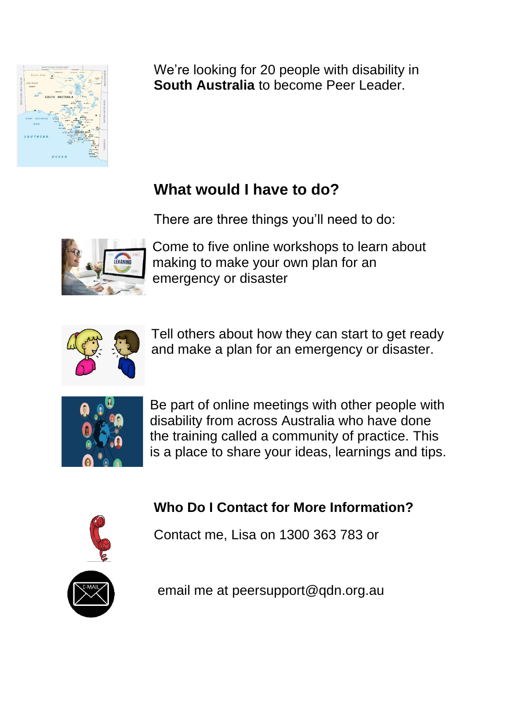

We're looking for 20 people with disability in **South Australia** to become Peer Leader.

# **What would I have to do?**

There are three things you'll need to do:



Come to five online workshops to learn about making to make your own plan for an emergency or disaster



Tell others about how they can start to get ready and make a plan for an emergency or disaster.



Be part of online meetings with other people with disability from across Australia who have done the training called a community of practice. This is a place to share your ideas, learnings and tips.

# **Who Do I Contact for More Information?**



Contact me, Lisa on 1300 363 783 or



email me at peersupport@qdn.org.au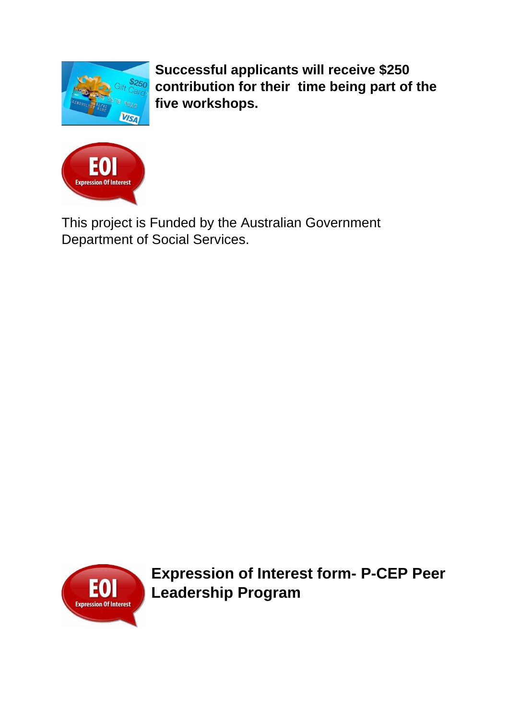

**Successful applicants will receive \$250 contribution for their time being part of the five workshops.**



This project is Funded by the Australian Government Department of Social Services.



**Expression of Interest form- P-CEP Peer Leadership Program**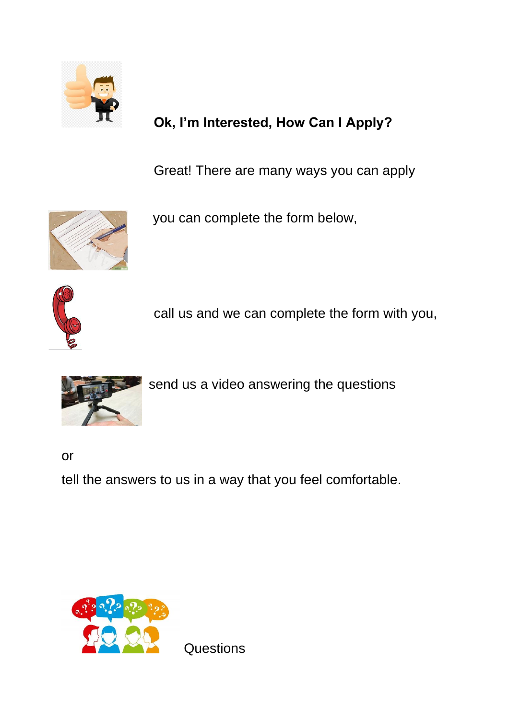

# **Ok, I'm Interested, How Can I Apply?**

Great! There are many ways you can apply



you can complete the form below,



call us and we can complete the form with you,



send us a video answering the questions

or

tell the answers to us in a way that you feel comfortable.



**Questions**